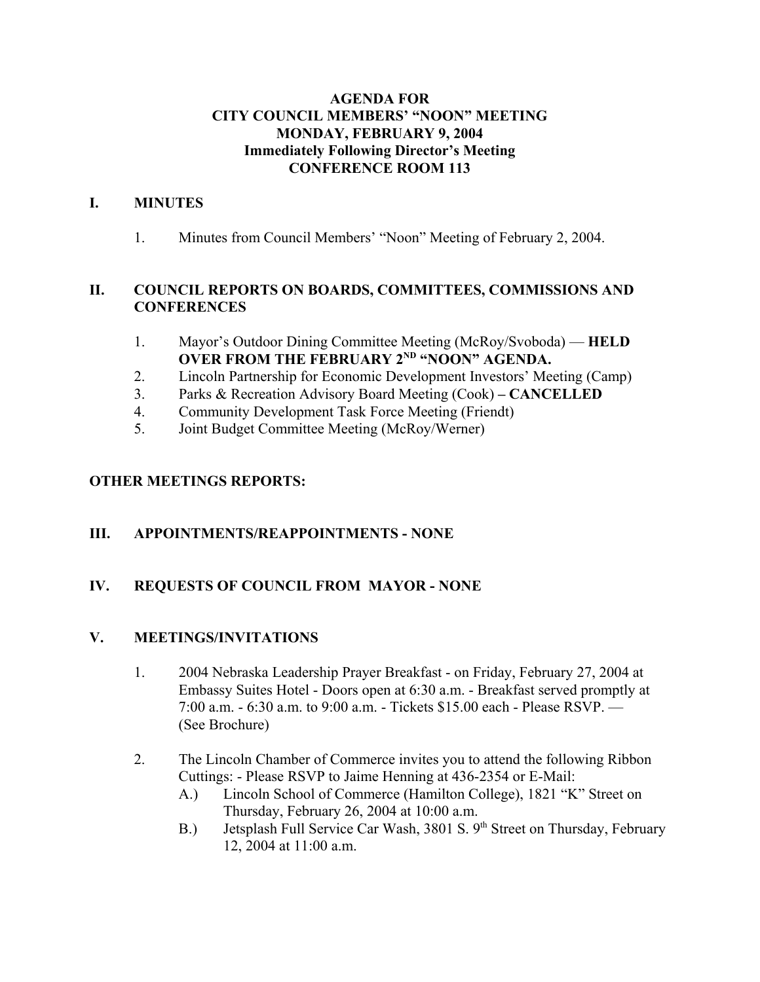## **AGENDA FOR CITY COUNCIL MEMBERS' "NOON" MEETING MONDAY, FEBRUARY 9, 2004 Immediately Following Director's Meeting CONFERENCE ROOM 113**

## **I. MINUTES**

1. Minutes from Council Members' "Noon" Meeting of February 2, 2004.

# **II. COUNCIL REPORTS ON BOARDS, COMMITTEES, COMMISSIONS AND CONFERENCES**

- 1. Mayor's Outdoor Dining Committee Meeting (McRoy/Svoboda) **HELD OVER FROM THE FEBRUARY 2<sup>ND</sup> "NOON" AGENDA.**
- 2. Lincoln Partnership for Economic Development Investors' Meeting (Camp)
- 3. Parks & Recreation Advisory Board Meeting (Cook)  **CANCELLED**
- 4. Community Development Task Force Meeting (Friendt)
- 5. Joint Budget Committee Meeting (McRoy/Werner)

## **OTHER MEETINGS REPORTS:**

## **III. APPOINTMENTS/REAPPOINTMENTS - NONE**

## **IV. REQUESTS OF COUNCIL FROM MAYOR - NONE**

## **V. MEETINGS/INVITATIONS**

- 1. 2004 Nebraska Leadership Prayer Breakfast on Friday, February 27, 2004 at Embassy Suites Hotel - Doors open at 6:30 a.m. - Breakfast served promptly at 7:00 a.m. - 6:30 a.m. to 9:00 a.m. - Tickets \$15.00 each - Please RSVP. — (See Brochure)
- 2. The Lincoln Chamber of Commerce invites you to attend the following Ribbon Cuttings: - Please RSVP to Jaime Henning at 436-2354 or E-Mail:
	- A.) Lincoln School of Commerce (Hamilton College), 1821 "K" Street on Thursday, February 26, 2004 at 10:00 a.m.
	- B.) Jetsplash Full Service Car Wash, 3801 S. 9<sup>th</sup> Street on Thursday, February 12, 2004 at 11:00 a.m.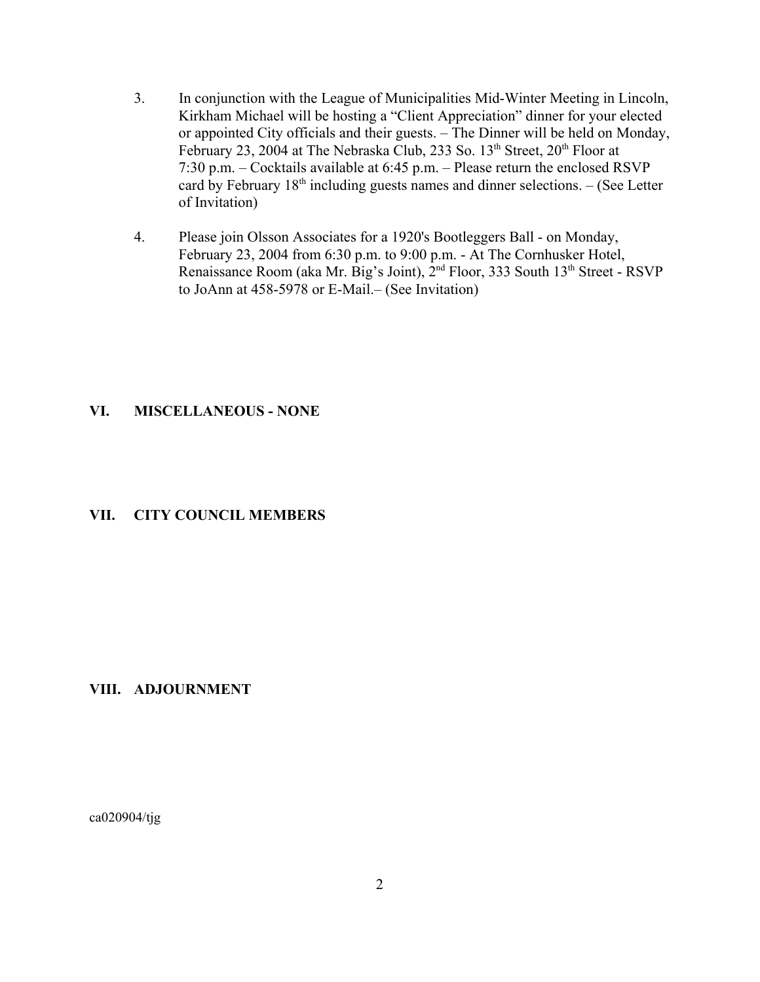- 3. In conjunction with the League of Municipalities Mid-Winter Meeting in Lincoln, Kirkham Michael will be hosting a "Client Appreciation" dinner for your elected or appointed City officials and their guests. – The Dinner will be held on Monday, February 23, 2004 at The Nebraska Club, 233 So.  $13<sup>th</sup>$  Street,  $20<sup>th</sup>$  Floor at 7:30 p.m. – Cocktails available at 6:45 p.m. – Please return the enclosed RSVP card by February  $18<sup>th</sup>$  including guests names and dinner selections. – (See Letter of Invitation)
- 4. Please join Olsson Associates for a 1920's Bootleggers Ball on Monday, February 23, 2004 from 6:30 p.m. to 9:00 p.m. - At The Cornhusker Hotel, Renaissance Room (aka Mr. Big's Joint), 2<sup>nd</sup> Floor, 333 South 13<sup>th</sup> Street - RSVP to JoAnn at 458-5978 or E-Mail.– (See Invitation)

#### **VI. MISCELLANEOUS - NONE**

#### **VII. CITY COUNCIL MEMBERS**

#### **VIII. ADJOURNMENT**

ca020904/tjg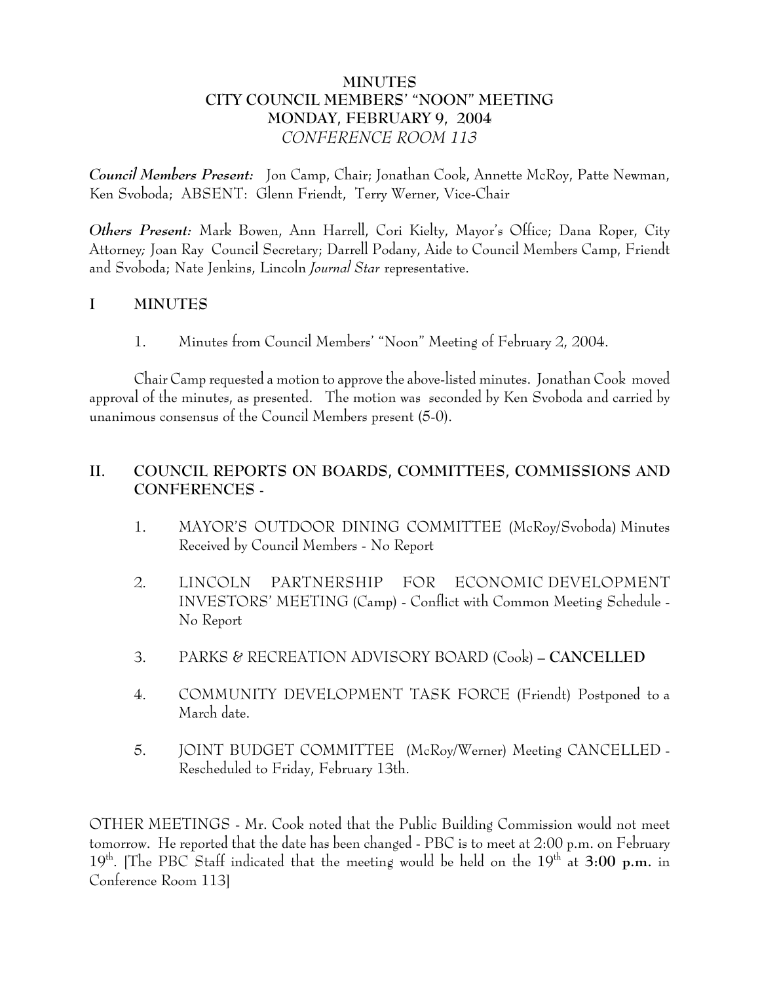# **MINUTES CITY COUNCIL MEMBERS' "NOON" MEETING MONDAY, FEBRUARY 9, 2004** *CONFERENCE ROOM 113*

*Council Members Present:* Jon Camp, Chair; Jonathan Cook, Annette McRoy, Patte Newman, Ken Svoboda; ABSENT: Glenn Friendt, Terry Werner, Vice-Chair

*Others Present:* Mark Bowen, Ann Harrell, Cori Kielty, Mayor's Office; Dana Roper, City Attorney*;* Joan Ray Council Secretary; Darrell Podany, Aide to Council Members Camp, Friendt and Svoboda; Nate Jenkins, Lincoln *Journal Star* representative.

# **I MINUTES**

1. Minutes from Council Members' "Noon" Meeting of February 2, 2004.

Chair Camp requested a motion to approve the above-listed minutes. Jonathan Cook moved approval of the minutes, as presented. The motion was seconded by Ken Svoboda and carried by unanimous consensus of the Council Members present (5-0).

# **II. COUNCIL REPORTS ON BOARDS, COMMITTEES, COMMISSIONS AND CONFERENCES -**

- 1. MAYOR'S OUTDOOR DINING COMMITTEE (McRoy/Svoboda) Minutes Received by Council Members - No Report
- 2. LINCOLN PARTNERSHIP FOR ECONOMIC DEVELOPMENT INVESTORS' MEETING (Camp) - Conflict with Common Meeting Schedule - No Report
- 3. PARKS & RECREATION ADVISORY BOARD (Cook)  **CANCELLED**
- 4. COMMUNITY DEVELOPMENT TASK FORCE (Friendt) Postponed to a March date.
- 5. JOINT BUDGET COMMITTEE (McRoy/Werner) Meeting CANCELLED Rescheduled to Friday, February 13th.

OTHER MEETINGS - Mr. Cook noted that the Public Building Commission would not meet tomorrow. He reported that the date has been changed - PBC is to meet at 2:00 p.m. on February 19<sup>th</sup>. [The PBC Staff indicated that the meeting would be held on the 19<sup>th</sup> at **3:00 p.m.** in Conference Room 113]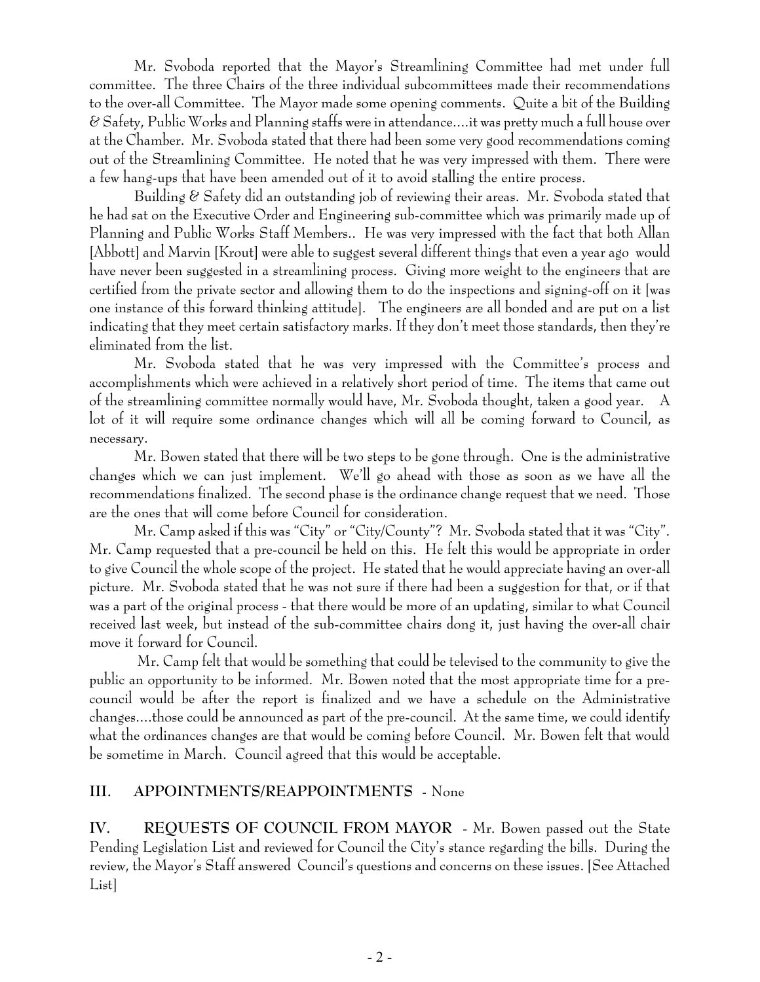Mr. Svoboda reported that the Mayor's Streamlining Committee had met under full committee. The three Chairs of the three individual subcommittees made their recommendations to the over-all Committee. The Mayor made some opening comments. Quite a bit of the Building & Safety, Public Works and Planning staffs were in attendance....it was pretty much a full house over at the Chamber. Mr. Svoboda stated that there had been some very good recommendations coming out of the Streamlining Committee. He noted that he was very impressed with them. There were a few hang-ups that have been amended out of it to avoid stalling the entire process.

Building & Safety did an outstanding job of reviewing their areas. Mr. Svoboda stated that he had sat on the Executive Order and Engineering sub-committee which was primarily made up of Planning and Public Works Staff Members.. He was very impressed with the fact that both Allan [Abbott] and Marvin [Krout] were able to suggest several different things that even a year ago would have never been suggested in a streamlining process. Giving more weight to the engineers that are certified from the private sector and allowing them to do the inspections and signing-off on it [was one instance of this forward thinking attitude]. The engineers are all bonded and are put on a list indicating that they meet certain satisfactory marks. If they don't meet those standards, then they're eliminated from the list.

Mr. Svoboda stated that he was very impressed with the Committee's process and accomplishments which were achieved in a relatively short period of time. The items that came out of the streamlining committee normally would have, Mr. Svoboda thought, taken a good year. A lot of it will require some ordinance changes which will all be coming forward to Council, as necessary.

Mr. Bowen stated that there will be two steps to be gone through. One is the administrative changes which we can just implement. We'll go ahead with those as soon as we have all the recommendations finalized. The second phase is the ordinance change request that we need. Those are the ones that will come before Council for consideration.

Mr. Camp asked if this was "City" or "City/County"? Mr. Svoboda stated that it was "City". Mr. Camp requested that a pre-council be held on this. He felt this would be appropriate in order to give Council the whole scope of the project. He stated that he would appreciate having an over-all picture. Mr. Svoboda stated that he was not sure if there had been a suggestion for that, or if that was a part of the original process - that there would be more of an updating, similar to what Council received last week, but instead of the sub-committee chairs dong it, just having the over-all chair move it forward for Council.

 Mr. Camp felt that would be something that could be televised to the community to give the public an opportunity to be informed. Mr. Bowen noted that the most appropriate time for a precouncil would be after the report is finalized and we have a schedule on the Administrative changes....those could be announced as part of the pre-council. At the same time, we could identify what the ordinances changes are that would be coming before Council. Mr. Bowen felt that would be sometime in March. Council agreed that this would be acceptable.

# **III. APPOINTMENTS/REAPPOINTMENTS -** None

**IV. REQUESTS OF COUNCIL FROM MAYOR** - Mr. Bowen passed out the State Pending Legislation List and reviewed for Council the City's stance regarding the bills. During the review, the Mayor's Staff answered Council's questions and concerns on these issues. [See Attached List]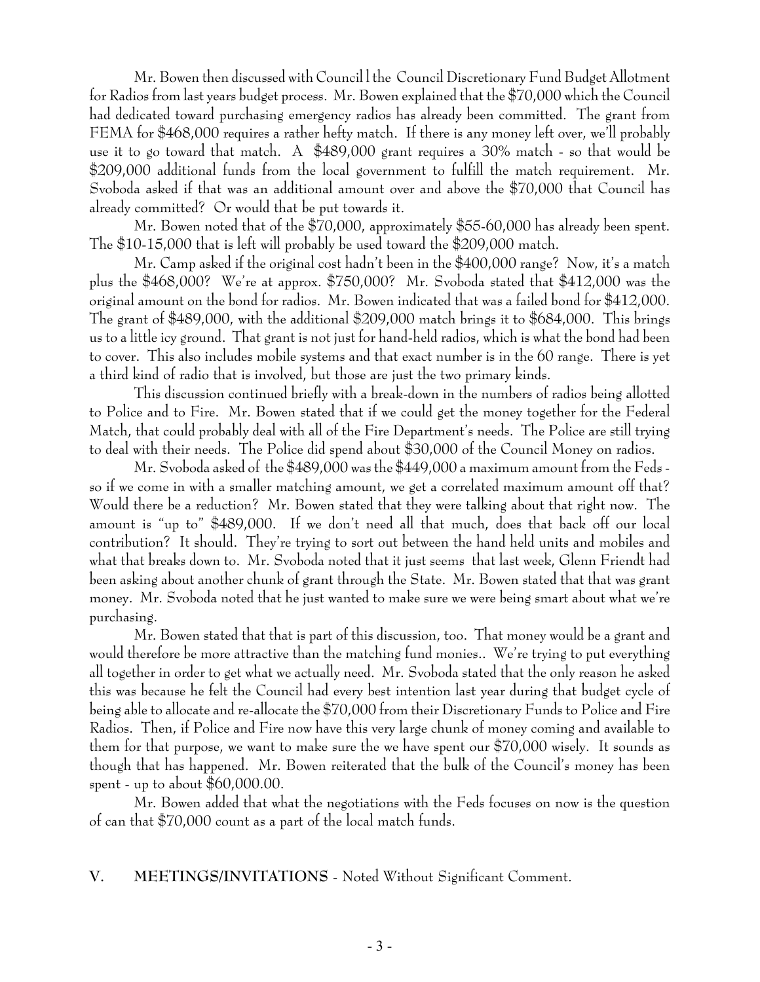Mr. Bowen then discussed with Council l the Council Discretionary Fund Budget Allotment for Radios from last years budget process. Mr. Bowen explained that the \$70,000 which the Council had dedicated toward purchasing emergency radios has already been committed. The grant from FEMA for \$468,000 requires a rather hefty match. If there is any money left over, we'll probably use it to go toward that match. A \$489,000 grant requires a 30% match - so that would be \$209,000 additional funds from the local government to fulfill the match requirement. Mr. Svoboda asked if that was an additional amount over and above the \$70,000 that Council has already committed? Or would that be put towards it.

Mr. Bowen noted that of the \$70,000, approximately \$55-60,000 has already been spent. The \$10-15,000 that is left will probably be used toward the \$209,000 match.

Mr. Camp asked if the original cost hadn't been in the \$400,000 range? Now, it's a match plus the \$468,000? We're at approx. \$750,000? Mr. Svoboda stated that \$412,000 was the original amount on the bond for radios. Mr. Bowen indicated that was a failed bond for \$412,000. The grant of \$489,000, with the additional \$209,000 match brings it to \$684,000. This brings us to a little icy ground. That grant is not just for hand-held radios, which is what the bond had been to cover. This also includes mobile systems and that exact number is in the 60 range. There is yet a third kind of radio that is involved, but those are just the two primary kinds.

This discussion continued briefly with a break-down in the numbers of radios being allotted to Police and to Fire. Mr. Bowen stated that if we could get the money together for the Federal Match, that could probably deal with all of the Fire Department's needs. The Police are still trying to deal with their needs. The Police did spend about \$30,000 of the Council Money on radios.

Mr. Svoboda asked of the \$489,000 was the \$449,000 a maximum amount from the Feds so if we come in with a smaller matching amount, we get a correlated maximum amount off that? Would there be a reduction? Mr. Bowen stated that they were talking about that right now. The amount is "up to" \$489,000. If we don't need all that much, does that back off our local contribution? It should. They're trying to sort out between the hand held units and mobiles and what that breaks down to. Mr. Svoboda noted that it just seems that last week, Glenn Friendt had been asking about another chunk of grant through the State. Mr. Bowen stated that that was grant money. Mr. Svoboda noted that he just wanted to make sure we were being smart about what we're purchasing.

Mr. Bowen stated that that is part of this discussion, too. That money would be a grant and would therefore be more attractive than the matching fund monies.. We're trying to put everything all together in order to get what we actually need. Mr. Svoboda stated that the only reason he asked this was because he felt the Council had every best intention last year during that budget cycle of being able to allocate and re-allocate the \$70,000 from their Discretionary Funds to Police and Fire Radios. Then, if Police and Fire now have this very large chunk of money coming and available to them for that purpose, we want to make sure the we have spent our \$70,000 wisely. It sounds as though that has happened. Mr. Bowen reiterated that the bulk of the Council's money has been spent - up to about  $$60,000.00$ .

Mr. Bowen added that what the negotiations with the Feds focuses on now is the question of can that \$70,000 count as a part of the local match funds.

# **V. MEETINGS/INVITATIONS** - Noted Without Significant Comment.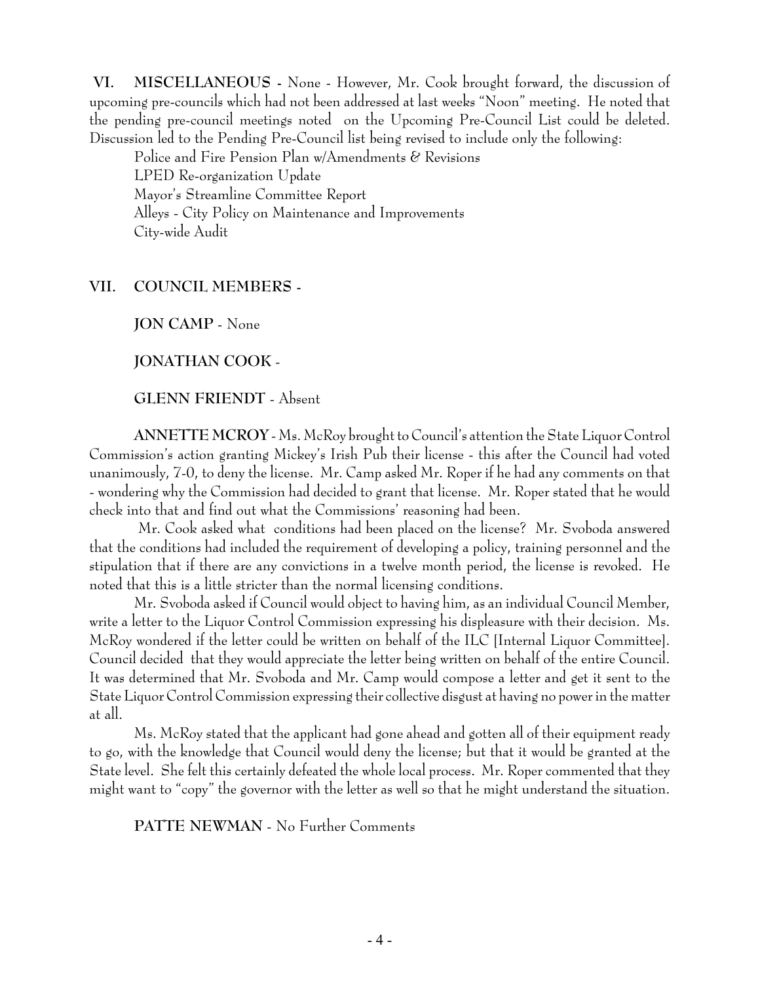**VI. MISCELLANEOUS -** None - However, Mr. Cook brought forward, the discussion of upcoming pre-councils which had not been addressed at last weeks "Noon" meeting. He noted that the pending pre-council meetings noted on the Upcoming Pre-Council List could be deleted. Discussion led to the Pending Pre-Council list being revised to include only the following:

Police and Fire Pension Plan w/Amendments & Revisions LPED Re-organization Update Mayor's Streamline Committee Report Alleys - City Policy on Maintenance and Improvements City-wide Audit

## **VII. COUNCIL MEMBERS -**

**JON CAMP** - None

**JONATHAN COOK** -

## **GLENN FRIENDT** - Absent

**ANNETTE MCROY** - Ms. McRoy brought to Council's attention the State Liquor Control Commission's action granting Mickey's Irish Pub their license - this after the Council had voted unanimously, 7-0, to deny the license. Mr. Camp asked Mr. Roper if he had any comments on that - wondering why the Commission had decided to grant that license. Mr. Roper stated that he would check into that and find out what the Commissions' reasoning had been.

 Mr. Cook asked what conditions had been placed on the license? Mr. Svoboda answered that the conditions had included the requirement of developing a policy, training personnel and the stipulation that if there are any convictions in a twelve month period, the license is revoked. He noted that this is a little stricter than the normal licensing conditions.

Mr. Svoboda asked if Council would object to having him, as an individual Council Member, write a letter to the Liquor Control Commission expressing his displeasure with their decision. Ms. McRoy wondered if the letter could be written on behalf of the ILC [Internal Liquor Committee]. Council decided that they would appreciate the letter being written on behalf of the entire Council. It was determined that Mr. Svoboda and Mr. Camp would compose a letter and get it sent to the State Liquor Control Commission expressing their collective disgust at having no power in the matter at all.

Ms. McRoy stated that the applicant had gone ahead and gotten all of their equipment ready to go, with the knowledge that Council would deny the license; but that it would be granted at the State level. She felt this certainly defeated the whole local process. Mr. Roper commented that they might want to "copy" the governor with the letter as well so that he might understand the situation.

**PATTE NEWMAN** - No Further Comments